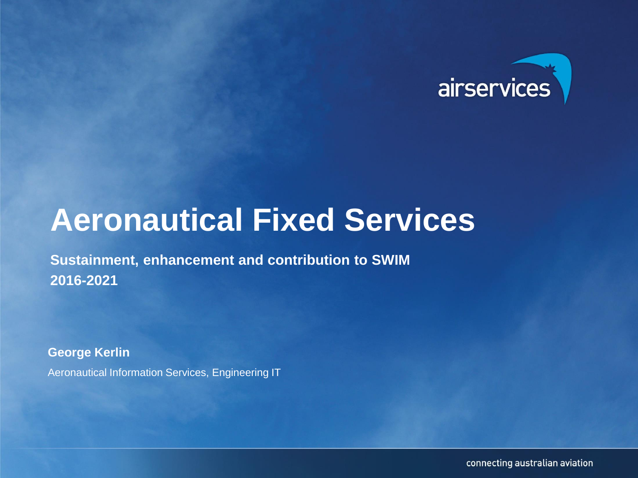

## **Aeronautical Fixed Services**

**Sustainment, enhancement and contribution to SWIM 2016-2021**

**George Kerlin**

Aeronautical Information Services, Engineering IT

connecting australian aviation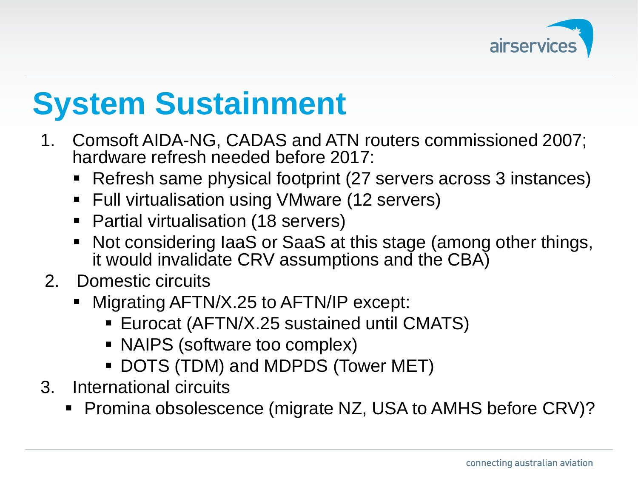

## **System Sustainment**

- 1. Comsoft AIDA-NG, CADAS and ATN routers commissioned 2007; hardware refresh needed before 2017:
	- Refresh same physical footprint (27 servers across 3 instances)
	- Full virtualisation using VMware (12 servers)
	- Partial virtualisation (18 servers)
	- Not considering IaaS or SaaS at this stage (among other things, it would invalidate CRV assumptions and the CBA)
- 2. Domestic circuits
	- Migrating AFTN/X.25 to AFTN/IP except:
		- Eurocat (AFTN/X.25 sustained until CMATS)
		- NAIPS (software too complex)
		- DOTS (TDM) and MDPDS (Tower MET)
- 3. International circuits
	- Promina obsolescence (migrate NZ, USA to AMHS before CRV)?